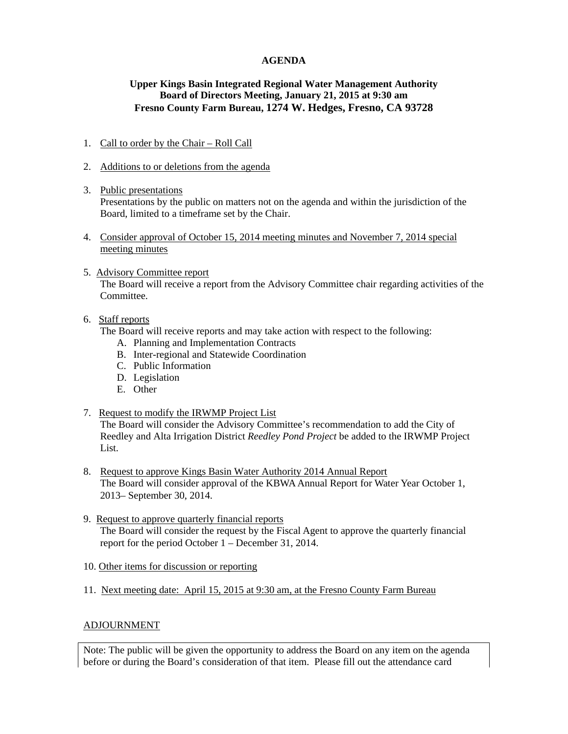### **AGENDA**

# **Upper Kings Basin Integrated Regional Water Management Authority Board of Directors Meeting, January 21, 2015 at 9:30 am Fresno County Farm Bureau, 1274 W. Hedges, Fresno, CA 93728**

### 1. Call to order by the Chair – Roll Call

- 2. Additions to or deletions from the agenda
- 3. Public presentations Presentations by the public on matters not on the agenda and within the jurisdiction of the Board, limited to a timeframe set by the Chair.
- 4. Consider approval of October 15, 2014 meeting minutes and November 7, 2014 special meeting minutes
- 5. Advisory Committee report

The Board will receive a report from the Advisory Committee chair regarding activities of the Committee.

6. Staff reports

The Board will receive reports and may take action with respect to the following:

- A. Planning and Implementation Contracts
- B. Inter-regional and Statewide Coordination
- C. Public Information
- D. Legislation
- E. Other

#### 7. Request to modify the IRWMP Project List

The Board will consider the Advisory Committee's recommendation to add the City of Reedley and Alta Irrigation District *Reedley Pond Project* be added to the IRWMP Project List.

- 8. Request to approve Kings Basin Water Authority 2014 Annual Report The Board will consider approval of the KBWA Annual Report for Water Year October 1, 2013– September 30, 2014.
- 9. Request to approve quarterly financial reports The Board will consider the request by the Fiscal Agent to approve the quarterly financial report for the period October 1 – December 31, 2014.
- 10. Other items for discussion or reporting
- 11. Next meeting date: April 15, 2015 at 9:30 am, at the Fresno County Farm Bureau

# ADJOURNMENT

Note: The public will be given the opportunity to address the Board on any item on the agenda before or during the Board's consideration of that item. Please fill out the attendance card